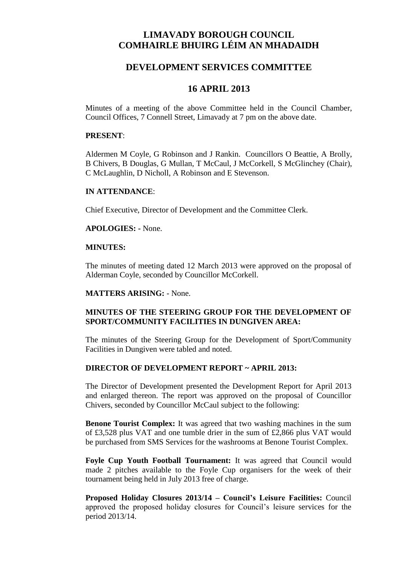# **LIMAVADY BOROUGH COUNCIL COMHAIRLE BHUIRG LÉIM AN MHADAIDH**

## **DEVELOPMENT SERVICES COMMITTEE**

## **16 APRIL 2013**

Minutes of a meeting of the above Committee held in the Council Chamber, Council Offices, 7 Connell Street, Limavady at 7 pm on the above date.

#### **PRESENT**:

Aldermen M Coyle, G Robinson and J Rankin. Councillors O Beattie, A Brolly, B Chivers, B Douglas, G Mullan, T McCaul, J McCorkell, S McGlinchey (Chair), C McLaughlin, D Nicholl, A Robinson and E Stevenson.

## **IN ATTENDANCE**:

Chief Executive, Director of Development and the Committee Clerk.

#### **APOLOGIES: -** None.

### **MINUTES:**

The minutes of meeting dated 12 March 2013 were approved on the proposal of Alderman Coyle, seconded by Councillor McCorkell.

#### **MATTERS ARISING:** - None.

## **MINUTES OF THE STEERING GROUP FOR THE DEVELOPMENT OF SPORT/COMMUNITY FACILITIES IN DUNGIVEN AREA:**

The minutes of the Steering Group for the Development of Sport/Community Facilities in Dungiven were tabled and noted.

## **DIRECTOR OF DEVELOPMENT REPORT ~ APRIL 2013:**

The Director of Development presented the Development Report for April 2013 and enlarged thereon. The report was approved on the proposal of Councillor Chivers, seconded by Councillor McCaul subject to the following:

**Benone Tourist Complex:** It was agreed that two washing machines in the sum of £3,528 plus VAT and one tumble drier in the sum of £2,866 plus VAT would be purchased from SMS Services for the washrooms at Benone Tourist Complex.

**Foyle Cup Youth Football Tournament:** It was agreed that Council would made 2 pitches available to the Foyle Cup organisers for the week of their tournament being held in July 2013 free of charge.

**Proposed Holiday Closures 2013/14 – Council's Leisure Facilities:** Council approved the proposed holiday closures for Council's leisure services for the period 2013/14.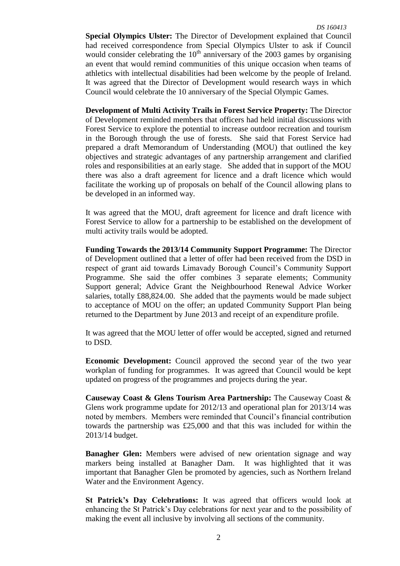**Special Olympics Ulster:** The Director of Development explained that Council had received correspondence from Special Olympics Ulster to ask if Council would consider celebrating the  $10<sup>th</sup>$  anniversary of the 2003 games by organising an event that would remind communities of this unique occasion when teams of athletics with intellectual disabilities had been welcome by the people of Ireland. It was agreed that the Director of Development would research ways in which Council would celebrate the 10 anniversary of the Special Olympic Games.

**Development of Multi Activity Trails in Forest Service Property:** The Director of Development reminded members that officers had held initial discussions with Forest Service to explore the potential to increase outdoor recreation and tourism in the Borough through the use of forests. She said that Forest Service had prepared a draft Memorandum of Understanding (MOU) that outlined the key objectives and strategic advantages of any partnership arrangement and clarified roles and responsibilities at an early stage. She added that in support of the MOU there was also a draft agreement for licence and a draft licence which would facilitate the working up of proposals on behalf of the Council allowing plans to be developed in an informed way.

It was agreed that the MOU, draft agreement for licence and draft licence with Forest Service to allow for a partnership to be established on the development of multi activity trails would be adopted.

**Funding Towards the 2013/14 Community Support Programme:** The Director of Development outlined that a letter of offer had been received from the DSD in respect of grant aid towards Limavady Borough Council's Community Support Programme. She said the offer combines 3 separate elements; Community Support general; Advice Grant the Neighbourhood Renewal Advice Worker salaries, totally £88,824.00. She added that the payments would be made subject to acceptance of MOU on the offer; an updated Community Support Plan being returned to the Department by June 2013 and receipt of an expenditure profile.

It was agreed that the MOU letter of offer would be accepted, signed and returned to DSD.

**Economic Development:** Council approved the second year of the two year workplan of funding for programmes. It was agreed that Council would be kept updated on progress of the programmes and projects during the year.

**Causeway Coast & Glens Tourism Area Partnership:** The Causeway Coast & Glens work programme update for 2012/13 and operational plan for 2013/14 was noted by members. Members were reminded that Council's financial contribution towards the partnership was £25,000 and that this was included for within the 2013/14 budget.

**Banagher Glen:** Members were advised of new orientation signage and way markers being installed at Banagher Dam. It was highlighted that it was important that Banagher Glen be promoted by agencies, such as Northern Ireland Water and the Environment Agency.

**St Patrick's Day Celebrations:** It was agreed that officers would look at enhancing the St Patrick's Day celebrations for next year and to the possibility of making the event all inclusive by involving all sections of the community.